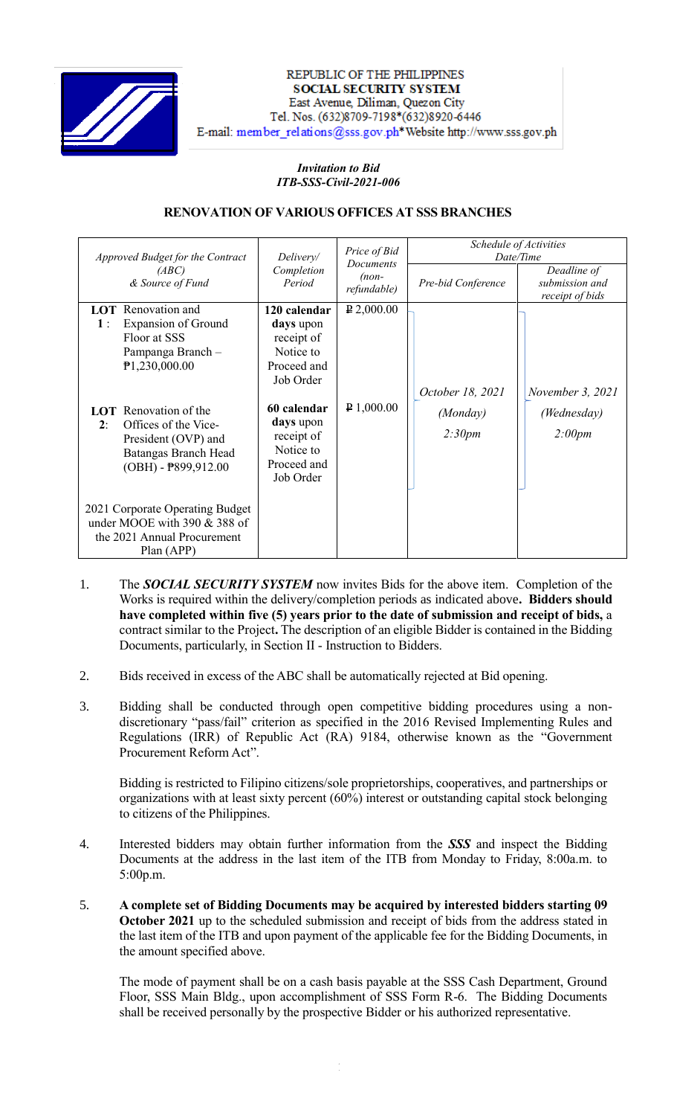

### REPUBLIC OF THE PHILIPPINES **SOCIAL SECURITY SYSTEM** East Avenue, Diliman, Quezon City Tel. Nos. (632)8709-7198\*(632)8920-6446 E-mail: member\_relations@sss.gov.ph\*Website http://www.sss.gov.ph

### *Invitation to Bid ITB-SSS-Civil-2021-006*

#### *Approved Budget for the Contract (ABC) & Source of Fund Delivery/ Completion Period Price of Bid Documents (nonrefundable) Schedule of Activities Date/Time Pre-bid Conference Deadline of submission and receipt of bids* **LOT**  Renovation and **1** : Expansion of Ground Floor at SSS Pampanga Branch – ₱1,230,000.00 **LOT**  Renovation of the **2**: Offices of the Vice-President (OVP) and Batangas Branch Head (OBH) - ₱899,912.00 2021 Corporate Operating Budget under MOOE with 390 & 388 of the 2021 Annual Procurement Plan (APP) **120 calendar days** upon receipt of Notice to Proceed and Job Order **60 calendar days** upon receipt of Notice to Proceed and Job Order  $\overline{P}2,000.00$  $\sqrt{P}$  1,000.00 *October 18, 2021 (Monday) 2:30pm November 3, 2021 (Wednesday) 2:00pm*

# **RENOVATION OF VARIOUS OFFICES AT SSS BRANCHES**

- 1. The *SOCIAL SECURITY SYSTEM* now invites Bids for the above item. Completion of the Works is required within the delivery/completion periods as indicated above**. Bidders should have completed within five (5) years prior to the date of submission and receipt of bids,** a contract similar to the Project**.** The description of an eligible Bidder is contained in the Bidding Documents, particularly, in Section II - Instruction to Bidders.
- 2. Bids received in excess of the ABC shall be automatically rejected at Bid opening.
- 3. Bidding shall be conducted through open competitive bidding procedures using a nondiscretionary "pass/fail" criterion as specified in the 2016 Revised Implementing Rules and Regulations (IRR) of Republic Act (RA) 9184, otherwise known as the "Government Procurement Reform Act".

Bidding is restricted to Filipino citizens/sole proprietorships, cooperatives, and partnerships or organizations with at least sixty percent (60%) interest or outstanding capital stock belonging to citizens of the Philippines.

- 4. Interested bidders may obtain further information from the *SSS* and inspect the Bidding Documents at the address in the last item of the ITB from Monday to Friday, 8:00a.m. to 5:00p.m.
- 5. **A complete set of Bidding Documents may be acquired by interested bidders starting 09 October 2021** up to the scheduled submission and receipt of bids from the address stated in the last item of the ITB and upon payment of the applicable fee for the Bidding Documents, in the amount specified above.

The mode of payment shall be on a cash basis payable at the SSS Cash Department, Ground Floor, SSS Main Bldg., upon accomplishment of SSS Form R-6. The Bidding Documents shall be received personally by the prospective Bidder or his authorized representative.